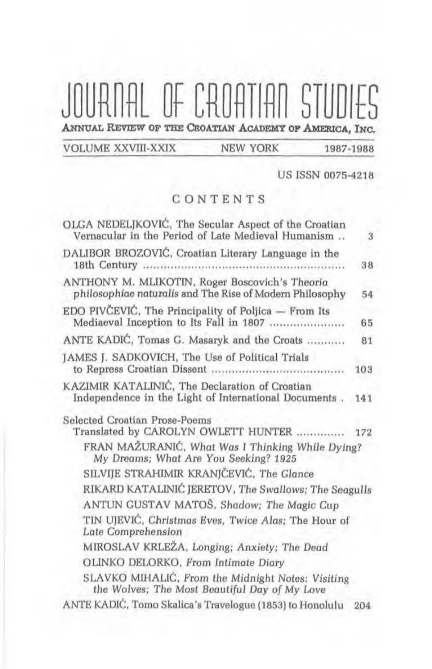# JOURNAL OF CROATIAN STUDIES ANNUAL REVIEW OF THE CROATIAN ACADEMY OF AMERICA, INC.

**VOLUME XXVIII-XXIX** 

**NEW YORK** 

#### 1987-1988

**US ISSN 0075-4218** 

#### CONTENTS

| OLGA NEDELJKOVIĆ, The Secular Aspect of the Croatian<br>Vernacular in the Period of Late Medieval Humanism | 3   |
|------------------------------------------------------------------------------------------------------------|-----|
| DALIBOR BROZOVIĆ, Croatian Literary Language in the                                                        | 38  |
| ANTHONY M. MLIKOTIN, Roger Boscovich's Theoria<br>philosophiae naturalis and The Rise of Modern Philosophy | 54  |
| EDO PIVČEVIĆ, The Principality of Poljica $-$ From Its<br>Mediaeval Inception to Its Fall in 1807          | 65  |
| ANTE KADIĆ, Tomas G. Masaryk and the Croats                                                                | 81  |
| JAMES J. SADKOVICH, The Use of Political Trials                                                            | 103 |
| KAZIMIR KATALINIĆ, The Declaration of Croatian<br>Independence in the Light of International Documents.    | 141 |
| Selected Croatian Prose-Poems<br>Translated by CAROLYN OWLETT HUNTER  172                                  |     |
| FRAN MAŽURANIĆ, What Was I Thinking While Dying?<br>My Dreams; What Are You Seeking? 1925                  |     |
| SILVIJE STRAHIMIR KRANJČEVIĆ, The Glance                                                                   |     |
| RIKARD KATALINIĆ JERETOV, The Swallows; The Seagulls                                                       |     |
| ANTUN GUSTAV MATOŠ, Shadow; The Magic Cup                                                                  |     |
| TIN UJEVIĆ, Christmas Eves, Twice Alas; The Hour of<br><b>Late Comprehension</b>                           |     |
| MIROSLAV KRLEŽA, Longing; Anxiety; The Dead                                                                |     |
| OLINKO DELORKO, From Intimate Diary                                                                        |     |
| SLAVKO MIHALIĆ, From the Midnight Notes: Visiting<br>the Wolves; The Most Beautiful Day of My Love         |     |
| ANTE KADIĆ, Tomo Skalica's Travelogue (1853) to Honolulu                                                   | 204 |